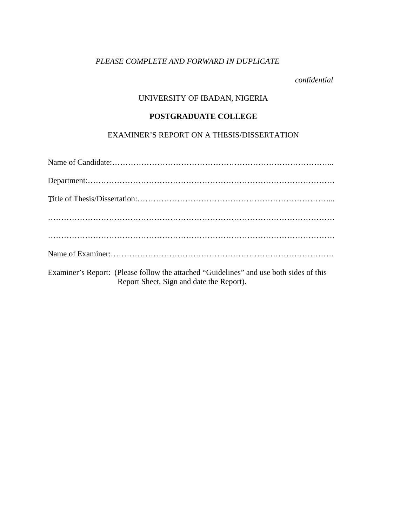# *PLEASE COMPLETE AND FORWARD IN DUPLICATE*

*confidential* 

# UNIVERSITY OF IBADAN, NIGERIA

#### **POSTGRADUATE COLLEGE**

## EXAMINER'S REPORT ON A THESIS/DISSERTATION

| Examiner's Report: (Please follow the attached "Guidelines" and use both sides of this<br>Report Sheet, Sign and date the Report). |
|------------------------------------------------------------------------------------------------------------------------------------|